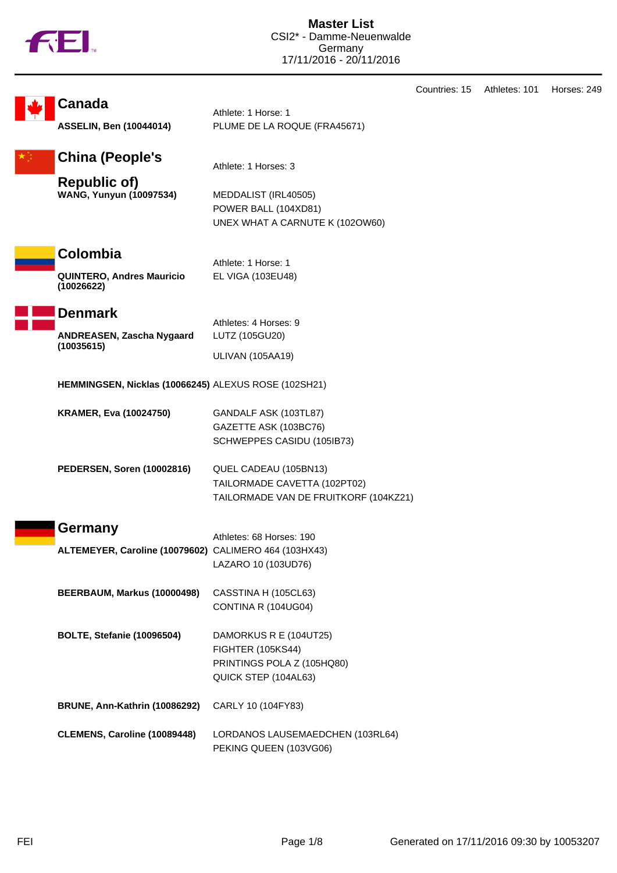

|                                                                                 |                                                                                                          | Countries: 15 | Athletes: 101 | Horses: 249 |  |
|---------------------------------------------------------------------------------|----------------------------------------------------------------------------------------------------------|---------------|---------------|-------------|--|
| <b>Canada</b><br><b>ASSELIN, Ben (10044014)</b>                                 | Athlete: 1 Horse: 1<br>PLUME DE LA ROQUE (FRA45671)                                                      |               |               |             |  |
| <b>China (People's</b><br><b>Republic of)</b><br><b>WANG, Yunyun (10097534)</b> | Athlete: 1 Horses: 3<br>MEDDALIST (IRL40505)<br>POWER BALL (104XD81)                                     |               |               |             |  |
| Colombia<br><b>QUINTERO, Andres Mauricio</b>                                    | UNEX WHAT A CARNUTE K (102OW60)<br>Athlete: 1 Horse: 1<br>EL VIGA (103EU48)                              |               |               |             |  |
| (10026622)<br><b>Denmark</b><br>ANDREASEN, Zascha Nygaard<br>(10035615)         | Athletes: 4 Horses: 9<br>LUTZ (105GU20)                                                                  |               |               |             |  |
| <b>ULIVAN (105AA19)</b><br>HEMMINGSEN, Nicklas (10066245) ALEXUS ROSE (102SH21) |                                                                                                          |               |               |             |  |
| <b>KRAMER, Eva (10024750)</b>                                                   | GANDALF ASK (103TL87)<br>GAZETTE ASK (103BC76)<br>SCHWEPPES CASIDU (105IB73)                             |               |               |             |  |
| PEDERSEN, Soren (10002816)                                                      | QUEL CADEAU (105BN13)<br>TAILORMADE CAVETTA (102PT02)<br>TAILORMADE VAN DE FRUITKORF (104KZ21)           |               |               |             |  |
| Germany<br>ALTEMEYER, Caroline (10079602) CALIMERO 464 (103HX43)                | Athletes: 68 Horses: 190<br>LAZARO 10 (103UD76)                                                          |               |               |             |  |
| BEERBAUM, Markus (10000498)                                                     | CASSTINA H (105CL63)<br>CONTINA R (104UG04)                                                              |               |               |             |  |
| <b>BOLTE, Stefanie (10096504)</b>                                               | DAMORKUS R E (104UT25)<br><b>FIGHTER (105KS44)</b><br>PRINTINGS POLA Z (105HQ80)<br>QUICK STEP (104AL63) |               |               |             |  |
| <b>BRUNE, Ann-Kathrin (10086292)</b>                                            | CARLY 10 (104FY83)                                                                                       |               |               |             |  |
| CLEMENS, Caroline (10089448)                                                    | LORDANOS LAUSEMAEDCHEN (103RL64)<br>PEKING QUEEN (103VG06)                                               |               |               |             |  |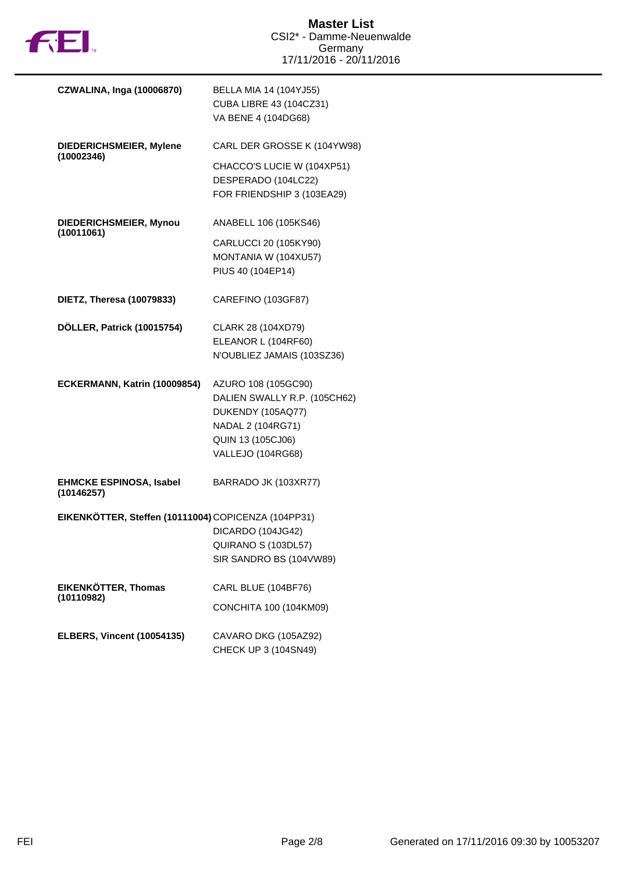

| <b>CZWALINA, Inga (10006870)</b>                    | BELLA MIA 14 (104YJ55)<br><b>CUBA LIBRE 43 (104CZ31)</b><br>VA BENE 4 (104DG68)                                                         |
|-----------------------------------------------------|-----------------------------------------------------------------------------------------------------------------------------------------|
| DIEDERICHSMEIER, Mylene                             | CARL DER GROSSE K (104YW98)                                                                                                             |
| (10002346)                                          | CHACCO'S LUCIE W (104XP51)<br>DESPERADO (104LC22)<br>FOR FRIENDSHIP 3 (103EA29)                                                         |
| DIEDERICHSMEIER, Mynou                              | ANABELL 106 (105KS46)                                                                                                                   |
| (10011061)                                          | CARLUCCI 20 (105KY90)<br>MONTANIA W (104XU57)<br>PIUS 40 (104EP14)                                                                      |
| DIETZ, Theresa (10079833)                           | CAREFINO (103GF87)                                                                                                                      |
| DÖLLER, Patrick (10015754)                          | CLARK 28 (104XD79)<br>ELEANOR L (104RF60)<br>N'OUBLIEZ JAMAIS (103SZ36)                                                                 |
| ECKERMANN, Katrin (10009854)                        | AZURO 108 (105GC90)<br>DALIEN SWALLY R.P. (105CH62)<br>DUKENDY (105AQ77)<br>NADAL 2 (104RG71)<br>QUIN 13 (105CJ06)<br>VALLEJO (104RG68) |
| <b>EHMCKE ESPINOSA, Isabel</b><br>(10146257)        | BARRADO JK (103XR77)                                                                                                                    |
| EIKENKÖTTER, Steffen (10111004) COPICENZA (104PP31) | DICARDO (104JG42)<br>QUIRANO S (103DL57)<br>SIR SANDRO BS (104VW89)                                                                     |
| <b>EIKENKÖTTER, Thomas</b><br>(10110982)            | CARL BLUE (104BF76)<br>CONCHITA 100 (104KM09)                                                                                           |
| <b>ELBERS, Vincent (10054135)</b>                   | CAVARO DKG (105AZ92)<br>CHECK UP 3 (104SN49)                                                                                            |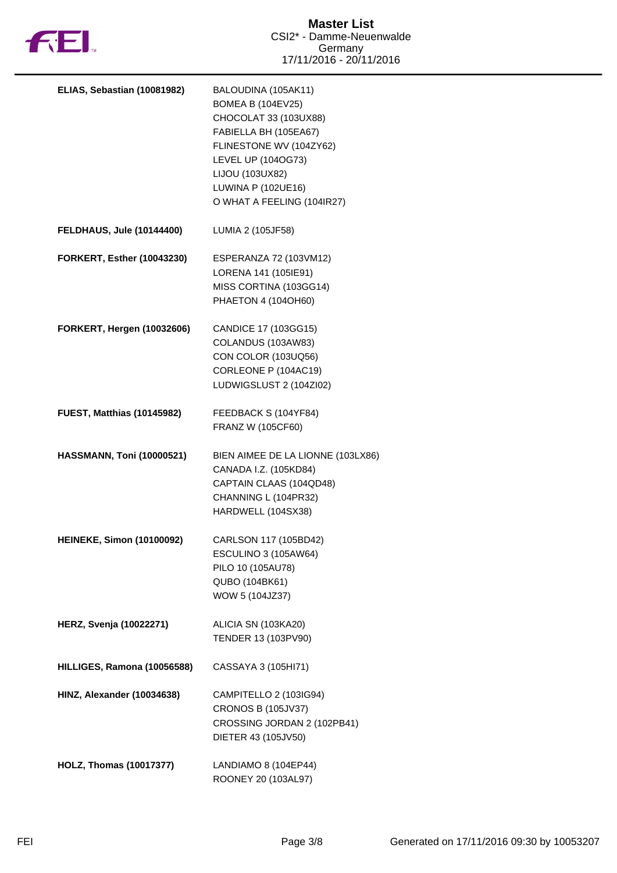

| ELIAS, Sebastian (10081982)       | BALOUDINA (105AK11)<br><b>BOMEA B (104EV25)</b><br>CHOCOLAT 33 (103UX88)<br>FABIELLA BH (105EA67)<br>FLINESTONE WV (104ZY62)<br>LEVEL UP (104OG73)<br>LIJOU (103UX82)<br>LUWINA P (102UE16)<br>O WHAT A FEELING (104IR27) |
|-----------------------------------|---------------------------------------------------------------------------------------------------------------------------------------------------------------------------------------------------------------------------|
| <b>FELDHAUS, Jule (10144400)</b>  | LUMIA 2 (105JF58)                                                                                                                                                                                                         |
| <b>FORKERT, Esther (10043230)</b> | ESPERANZA 72 (103VM12)<br>LORENA 141 (105IE91)<br>MISS CORTINA (103GG14)<br>PHAETON 4 (104OH60)                                                                                                                           |
| <b>FORKERT, Hergen (10032606)</b> | CANDICE 17 (103GG15)<br>COLANDUS (103AW83)<br>CON COLOR (103UQ56)<br>CORLEONE P (104AC19)<br>LUDWIGSLUST 2 (104ZI02)                                                                                                      |
| <b>FUEST, Matthias (10145982)</b> | FEEDBACK S (104YF84)<br>FRANZ W (105CF60)                                                                                                                                                                                 |
| <b>HASSMANN, Toni (10000521)</b>  | BIEN AIMEE DE LA LIONNE (103LX86)<br>CANADA I.Z. (105KD84)<br>CAPTAIN CLAAS (104QD48)<br>CHANNING L (104PR32)<br>HARDWELL (104SX38)                                                                                       |
| <b>HEINEKE, Simon (10100092)</b>  | CARLSON 117 (105BD42)<br>ESCULINO 3 (105AW64)<br>PILO 10 (105AU78)<br>QUBO (104BK61)<br>WOW 5 (104JZ37)                                                                                                                   |
| <b>HERZ, Svenja (10022271)</b>    | ALICIA SN (103KA20)<br>TENDER 13 (103PV90)                                                                                                                                                                                |
| HILLIGES, Ramona (10056588)       | CASSAYA 3 (105HI71)                                                                                                                                                                                                       |
| HINZ, Alexander (10034638)        | CAMPITELLO 2 (103IG94)<br><b>CRONOS B (105JV37)</b><br>CROSSING JORDAN 2 (102PB41)<br>DIETER 43 (105JV50)                                                                                                                 |
| <b>HOLZ, Thomas (10017377)</b>    | LANDIAMO 8 (104EP44)<br>ROONEY 20 (103AL97)                                                                                                                                                                               |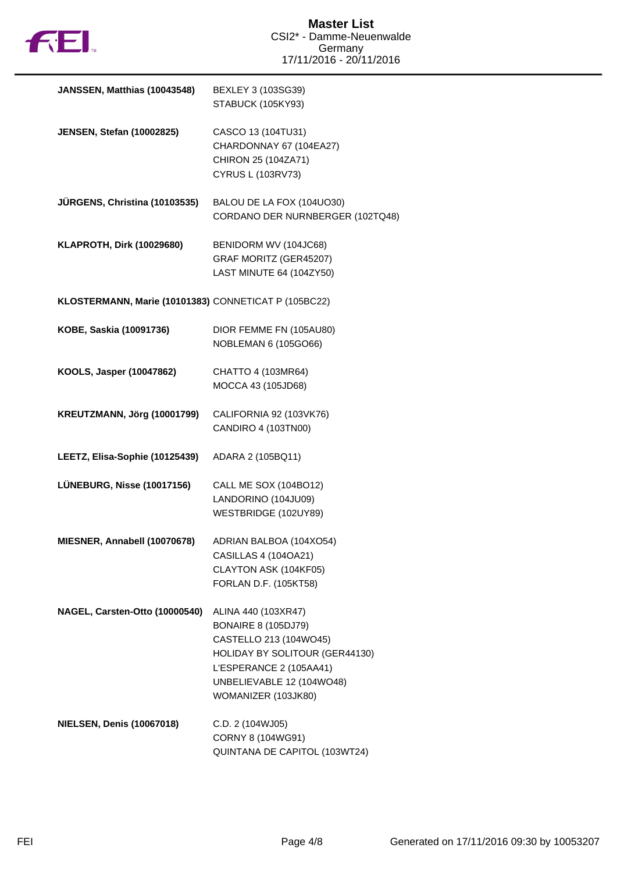

| JANSSEN, Matthias (10043548)                         | BEXLEY 3 (103SG39)<br>STABUCK (105KY93)                                                                                                                                                      |
|------------------------------------------------------|----------------------------------------------------------------------------------------------------------------------------------------------------------------------------------------------|
| <b>JENSEN, Stefan (10002825)</b>                     | CASCO 13 (104TU31)<br>CHARDONNAY 67 (104EA27)<br>CHIRON 25 (104ZA71)<br>CYRUS L (103RV73)                                                                                                    |
| JÜRGENS, Christina (10103535)                        | BALOU DE LA FOX (104UO30)<br>CORDANO DER NURNBERGER (102TQ48)                                                                                                                                |
| <b>KLAPROTH, Dirk (10029680)</b>                     | BENIDORM WV (104JC68)<br>GRAF MORITZ (GER45207)<br>LAST MINUTE 64 (104ZY50)                                                                                                                  |
| KLOSTERMANN, Marie (10101383) CONNETICAT P (105BC22) |                                                                                                                                                                                              |
| KOBE, Saskia (10091736)                              | DIOR FEMME FN (105AU80)<br>NOBLEMAN 6 (105GO66)                                                                                                                                              |
| KOOLS, Jasper (10047862)                             | CHATTO 4 (103MR64)<br>MOCCA 43 (105JD68)                                                                                                                                                     |
| KREUTZMANN, Jörg (10001799)                          | CALIFORNIA 92 (103VK76)<br>CANDIRO 4 (103TN00)                                                                                                                                               |
| LEETZ, Elisa-Sophie (10125439)                       | ADARA 2 (105BQ11)                                                                                                                                                                            |
| LÜNEBURG, Nisse (10017156)                           | CALL ME SOX (104BO12)<br>LANDORINO (104JU09)<br>WESTBRIDGE (102UY89)                                                                                                                         |
| MIESNER, Annabell (10070678)                         | ADRIAN BALBOA (104XO54)<br>CASILLAS 4 (104OA21)<br>CLAYTON ASK (104KF05)<br>FORLAN D.F. (105KT58)                                                                                            |
| NAGEL, Carsten-Otto (10000540)                       | ALINA 440 (103XR47)<br><b>BONAIRE 8 (105DJ79)</b><br>CASTELLO 213 (104WO45)<br>HOLIDAY BY SOLITOUR (GER44130)<br>L'ESPERANCE 2 (105AA41)<br>UNBELIEVABLE 12 (104WO48)<br>WOMANIZER (103JK80) |
| <b>NIELSEN, Denis (10067018)</b>                     | C.D. 2 (104WJ05)<br>CORNY 8 (104WG91)<br>QUINTANA DE CAPITOL (103WT24)                                                                                                                       |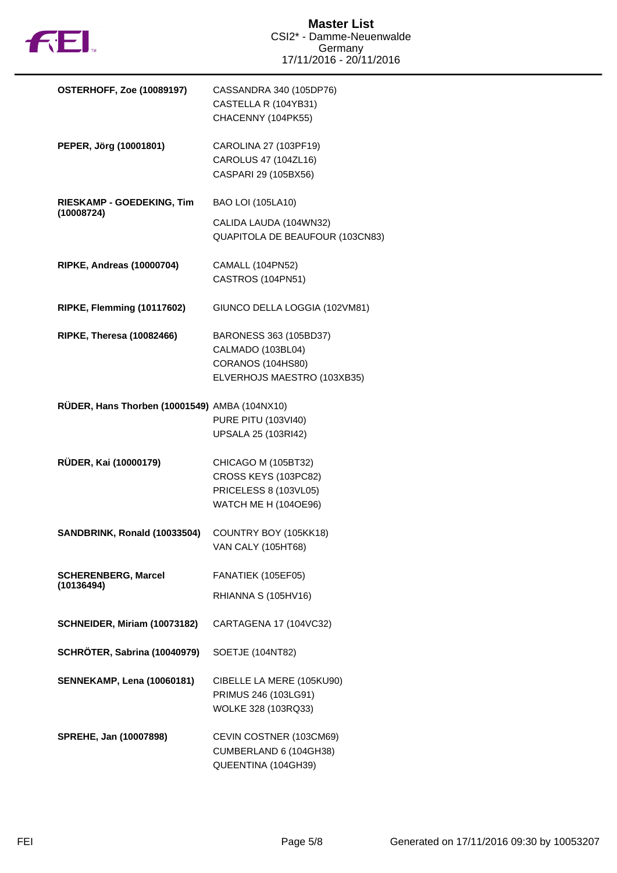

| <b>OSTERHOFF, Zoe (10089197)</b>              | CASSANDRA 340 (105DP76)<br>CASTELLA R (104YB31)<br>CHACENNY (104PK55)                               |
|-----------------------------------------------|-----------------------------------------------------------------------------------------------------|
| PEPER, Jörg (10001801)                        | CAROLINA 27 (103PF19)<br>CAROLUS 47 (104ZL16)<br>CASPARI 29 (105BX56)                               |
| RIESKAMP - GOEDEKING, Tim                     | <b>BAO LOI (105LA10)</b>                                                                            |
| (10008724)                                    | CALIDA LAUDA (104WN32)<br>QUAPITOLA DE BEAUFOUR (103CN83)                                           |
| <b>RIPKE, Andreas (10000704)</b>              | CAMALL (104PN52)<br>CASTROS (104PN51)                                                               |
| RIPKE, Flemming (10117602)                    | GIUNCO DELLA LOGGIA (102VM81)                                                                       |
| <b>RIPKE, Theresa (10082466)</b>              | BARONESS 363 (105BD37)<br>CALMADO (103BL04)<br>CORANOS (104HS80)<br>ELVERHOJS MAESTRO (103XB35)     |
| RÜDER, Hans Thorben (10001549) AMBA (104NX10) | <b>PURE PITU (103VI40)</b><br>UPSALA 25 (103RI42)                                                   |
| RÜDER, Kai (10000179)                         | CHICAGO M (105BT32)<br>CROSS KEYS (103PC82)<br>PRICELESS 8 (103VL05)<br><b>WATCH ME H (104OE96)</b> |
| SANDBRINK, Ronald (10033504)                  | COUNTRY BOY (105KK18)<br><b>VAN CALY (105HT68)</b>                                                  |
| <b>SCHERENBERG, Marcel</b>                    | FANATIEK (105EF05)                                                                                  |
| (10136494)                                    | RHIANNA S (105HV16)                                                                                 |
| SCHNEIDER, Miriam (10073182)                  | CARTAGENA 17 (104VC32)                                                                              |
| SCHRÖTER, Sabrina (10040979)                  | SOETJE (104NT82)                                                                                    |
| <b>SENNEKAMP, Lena (10060181)</b>             | CIBELLE LA MERE (105KU90)<br>PRIMUS 246 (103LG91)<br>WOLKE 328 (103RQ33)                            |
| SPREHE, Jan (10007898)                        | CEVIN COSTNER (103CM69)<br>CUMBERLAND 6 (104GH38)<br>QUEENTINA (104GH39)                            |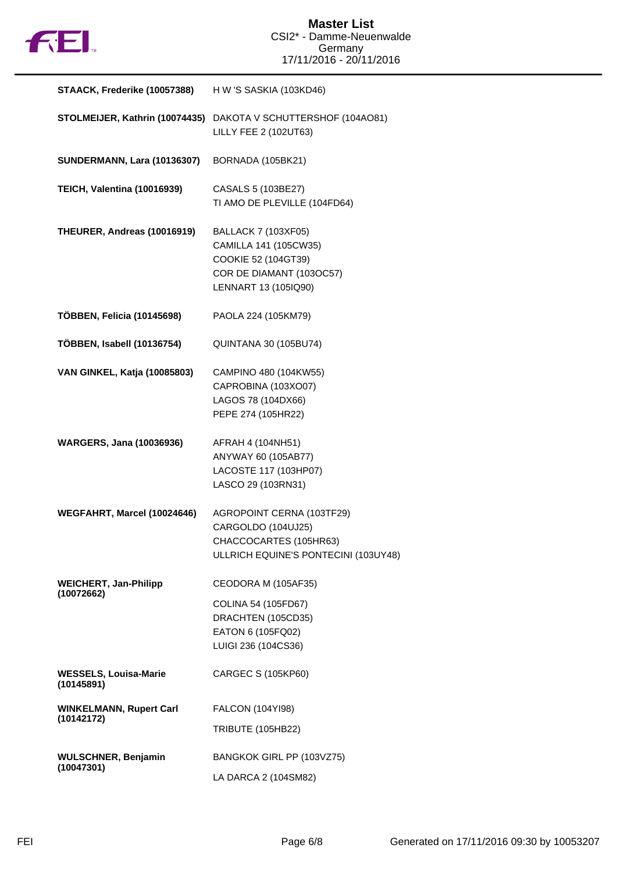

| STAACK, Frederike (10057388)                 | H W 'S SASKIA (103KD46)                                                                                                        |
|----------------------------------------------|--------------------------------------------------------------------------------------------------------------------------------|
|                                              | STOLMEIJER, Kathrin (10074435) DAKOTA V SCHUTTERSHOF (104AO81)<br>LILLY FEE 2 (102UT63)                                        |
| <b>SUNDERMANN, Lara (10136307)</b>           | BORNADA (105BK21)                                                                                                              |
| TEICH, Valentina (10016939)                  | CASALS 5 (103BE27)<br>TI AMO DE PLEVILLE (104FD64)                                                                             |
| THEURER, Andreas (10016919)                  | <b>BALLACK 7 (103XF05)</b><br>CAMILLA 141 (105CW35)<br>COOKIE 52 (104GT39)<br>COR DE DIAMANT (103OC57)<br>LENNART 13 (105IQ90) |
| TÖBBEN, Felicia (10145698)                   | PAOLA 224 (105KM79)                                                                                                            |
| TÖBBEN, Isabell (10136754)                   | QUINTANA 30 (105BU74)                                                                                                          |
| <b>VAN GINKEL, Katja (10085803)</b>          | CAMPINO 480 (104KW55)<br>CAPROBINA (103XO07)<br>LAGOS 78 (104DX66)<br>PEPE 274 (105HR22)                                       |
| <b>WARGERS, Jana (10036936)</b>              | AFRAH 4 (104NH51)<br>ANYWAY 60 (105AB77)<br>LACOSTE 117 (103HP07)<br>LASCO 29 (103RN31)                                        |
| WEGFAHRT, Marcel (10024646)                  | AGROPOINT CERNA (103TF29)<br>CARGOLDO (104UJ25)<br>CHACCOCARTES (105HR63)<br>ULLRICH EQUINE'S PONTECINI (103UY48)              |
| <b>WEICHERT, Jan-Philipp</b><br>(10072662)   | CEODORA M (105AF35)                                                                                                            |
|                                              | COLINA 54 (105FD67)<br>DRACHTEN (105CD35)<br>EATON 6 (105FQ02)<br>LUIGI 236 (104CS36)                                          |
| <b>WESSELS, Louisa-Marie</b><br>(10145891)   | CARGEC S (105KP60)                                                                                                             |
| <b>WINKELMANN, Rupert Carl</b><br>(10142172) | FALCON (104YI98)                                                                                                               |
|                                              | <b>TRIBUTE (105HB22)</b>                                                                                                       |
| <b>WULSCHNER, Benjamin</b><br>(10047301)     | BANGKOK GIRL PP (103VZ75)                                                                                                      |
|                                              | LA DARCA 2 (104SM82)                                                                                                           |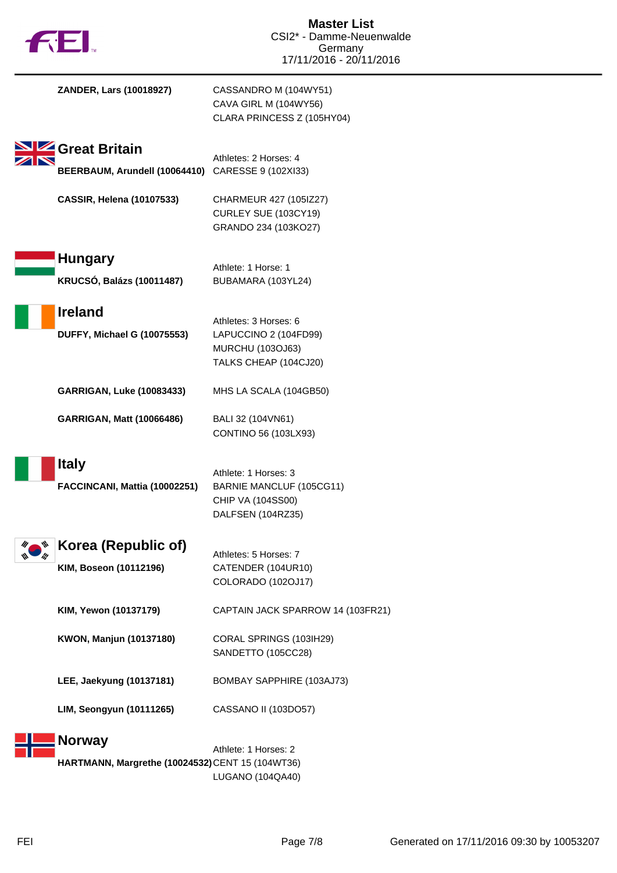| ZANDER, Lars (10018927)                                            | CASSANDRO M (104WY51)<br>CAVA GIRL M (104WY56)<br>CLARA PRINCESS Z (105HY04)                |
|--------------------------------------------------------------------|---------------------------------------------------------------------------------------------|
| Great Britain<br>BEERBAUM, Arundell (10064410) CARESSE 9 (102XI33) | Athletes: 2 Horses: 4                                                                       |
| <b>CASSIR, Helena (10107533)</b>                                   | CHARMEUR 427 (105IZ27)<br>CURLEY SUE (103CY19)<br>GRANDO 234 (103KO27)                      |
| <b>Hungary</b><br><b>KRUCSÓ, Balázs (10011487)</b>                 | Athlete: 1 Horse: 1<br>BUBAMARA (103YL24)                                                   |
| <b>Ireland</b><br><b>DUFFY, Michael G (10075553)</b>               | Athletes: 3 Horses: 6<br>LAPUCCINO 2 (104FD99)<br>MURCHU (103OJ63)<br>TALKS CHEAP (104CJ20) |
| <b>GARRIGAN, Luke (10083433)</b>                                   | MHS LA SCALA (104GB50)                                                                      |
| <b>GARRIGAN, Matt (10066486)</b>                                   | BALI 32 (104VN61)<br>CONTINO 56 (103LX93)                                                   |
| <b>Italy</b><br>FACCINCANI, Mattia (10002251)                      | Athlete: 1 Horses: 3<br>BARNIE MANCLUF (105CG11)<br>CHIP VA (104SS00)<br>DALFSEN (104RZ35)  |
| Korea (Republic of)<br>KIM, Boseon (10112196)                      | Athletes: 5 Horses: 7<br>CATENDER (104UR10)<br>COLORADO (102OJ17)                           |
| KIM, Yewon (10137179)                                              | CAPTAIN JACK SPARROW 14 (103FR21)                                                           |
| KWON, Manjun (10137180)                                            | CORAL SPRINGS (103IH29)<br>SANDETTO (105CC28)                                               |
| LEE, Jaekyung (10137181)                                           | BOMBAY SAPPHIRE (103AJ73)                                                                   |
| <b>LIM, Seongyun (10111265)</b>                                    | CASSANO II (103DO57)                                                                        |
| <b>Norway</b><br>HARTMANN, Margrethe (10024532) CENT 15 (104WT36)  | Athlete: 1 Horses: 2                                                                        |

LUGANO (104QA40)